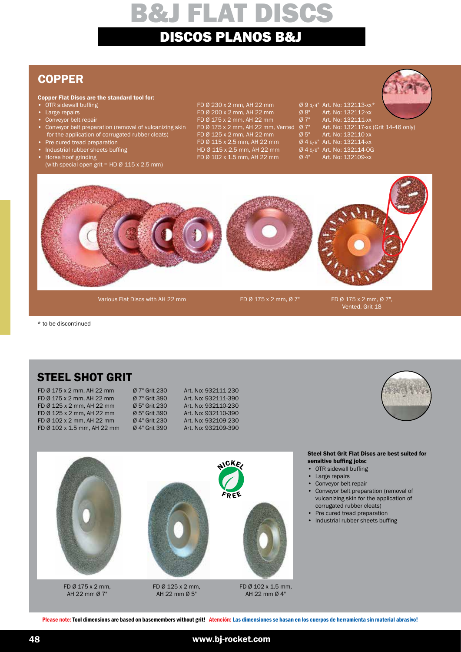## **COPPER**

### Copper Flat Discs are the standard tool for:

- OTR sidewall buffing
- Large repairs
- Conveyor belt repair
- Conveyor belt preparation (removal of vulcanizing skin for the application of corrugated rubber cleats)
- Pre cured tread preparation
- Industrial rubber sheets buffing • Horse hoof grinding
- (with special open grit = HD  $\varnothing$  115 x 2.5 mm)

FD Ø 230 x 2 mm, AH 22 mm Ø 9 1/4" Art. No: 132113-xx\*<br>FD Ø 200 x 2 mm, AH 22 mm Ø 8" Art. No: 132112-xx FD Ø 200 x 2 mm, AH 22 mm Ø 8" Art. No: 132112-xx<br>FD Ø 175 x 2 mm, AH 22 mm Ø 7" Art. No: 132111-xx FD Ø 175 x 2 mm, AH 22 mm, Vented Ø 7" Art. No: 132117-xx<br>FD Ø 125 x 2 mm, AH 22 mm Ø 5" Art. No: 132110-xx FD Ø 125 x 2 mm, AH 22 mm Ø 5" Art. No: 132110-xx<br>FD Ø 115 x 2.5 mm, AH 22 mm Ø 4 5/8" Art. No: 132114-xx FD Ø 115 x 2.5 mm, AH 22 mm  $\emptyset$  4 5/8" Art. No: 132114-xx<br>HD Ø 115 x 2.5 mm, AH 22 mm  $\emptyset$  4 5/8" Art. No: 132114-0G HD Ø 115 x 2.5 mm, AH 22 mm  $\begin{array}{r} \text{B} \text{A} = 45\% \\ \text{C} \text{A} = 60\% \\ \text{D} \text{B} = 102 \times 1.5 \text{ mm}, \text{A} + 22 \text{ mm} \end{array}$   $\begin{array}{r} \text{C} \text{A} = 45\% \\ \text{D} \text{A} = 45\% \\ \text{A} = 45\% \\ \text{A} = 15\% \\ \text{A} = 15\% \\ \text{A} = 15\% \\ \text{A} = 15\% \\ \text{$ FD Ø 102 x 1.5 mm, AH 22 mm

FD Ø 175 x 2 mm, AH 22 mm Ø 7" Art. No: 132111-xx<br>FD Ø 175 x 2 mm, AH 22 mm, Vented Ø 7" Art. No: 132117-xx (Grit 14-46 only)



Various Flat Discs with AH 22 mm FD Ø 175 x 2 mm, Ø 7" FD Ø 175 x 2 mm, Ø 7",

Vented, Grit 18

\* to be discontinued

## STEEL SHOT GRIT

| FD Ø 175 x 2 mm, AH 22 mm   | Ø 7" Grit 230 | Art. No: 932111-230 |
|-----------------------------|---------------|---------------------|
| FD Ø 175 x 2 mm, AH 22 mm   | Ø 7" Grit 390 | Art. No: 932111-390 |
| FD Ø 125 x 2 mm, AH 22 mm   | Ø 5" Grit 230 | Art. No: 932110-230 |
| FD Ø 125 x 2 mm, AH 22 mm   | Ø 5" Grit 390 | Art. No: 932110-390 |
| FD Ø 102 x 2 mm, AH 22 mm   | Ø 4" Grit 230 | Art. No: 932109-230 |
| FD Ø 102 x 1.5 mm, AH 22 mm | Ø 4" Grit 390 | Art. No: 932109-390 |
|                             |               |                     |





#### FD Ø 175 x 2 mm, AH 22 mm Ø 7"

FD Ø 125 x 2 mm, AH 22 mm Ø 5"

FD Ø 102 x 1.5 mm, AH 22 mm Ø 4"

#### Steel Shot Grit Flat Discs are best suited for sensitive buffing jobs:

- OTR sidewall buffing
- Large repairs
- Conveyor belt repair
- Conveyor belt preparation (removal of vulcanizing skin for the application of corrugated rubber cleats)
- Pre cured tread preparation<br>• Industrial rubber sheets buf
- Industrial rubber sheets buffing